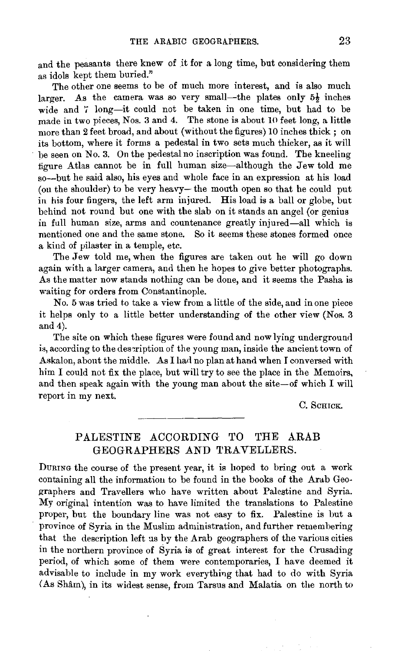and the peasants there knew of it for a long time, but considering them as idols kept them buried."

The other one seems to be of much more interest, and is also much larger. As the camera was so very small—the plates only  $5\frac{1}{2}$  inches wide and 7 long-it could not be taken in one time, but had to be made in two pieces, Nos. 3 and 4. The stone is about 10 feet long, a little more than 2 feet broad, and about (without the figures) 10 inches thick; on its bottom, where it forms a pedestal in two sets much thicker, as it will be seen on No. 3. On the pedestal no inscription was found. The kneeling figure Atlas cannot be in full human size-although the Jew told me so--but he said also, his eyes and whole face in an expression at his load (on the shoulder) to be very heavy-the mouth open so that he could put in his four fingers, the left arm injured. His load is a ball or globe, but behind not round but one with the slab on it stands an angel (or genius in full human size, arms and countenance greatly injured-all which is mentioned one and the same stone. So it seems these stones formed once a kind of pilaster in a temple, etc.

The Jew told me, when the figures are taken out he will go down again with a larger camera, and then he hopes to give better photographs. As the matter now stands nothing can be done, and it seems the Pasha is waiting for orders from Constantinople.

No. 5 was tried to take a view from a little of the side, and in one piece it helps only to a little better understanding of the other view (Nos. 3 and  $4$ ).

The site on which these figures were found and now lying underground is, according to the description of the young man, inside the ancient town of Askalon, about the middle. As I had no plan at hand when I conversed with him I could not fix the place, but will try to see the place in the Memoirs, and then speak again with the young man about the site-of which  $I$  will report in my next.

C. ScHICK.

## PALESTINE ACCORDING TO THE ARAB GEOGRAPHERS AND TRAVELLERS.

DURING the course of the present year, it is hoped to bring out a work containing all the information to be found in the books of the Arab Geographers and Travellers who have written about Palestine and Syria. My original intention was to have limited the translations to Palestine proper, but the boundary line was not easy to fix. Palestine is but a province of Syria in the Muslim administration, and further remembering that the description left us by the Arab geographers of the various cities in the northern province of Syria is of great interest for the Crusading period, of which some of them were contemporaries, I have deemed it advisable to include in my work everything that had to do with Syria (As Sham), in its widest sense, from Tarsus and Malatia on the north to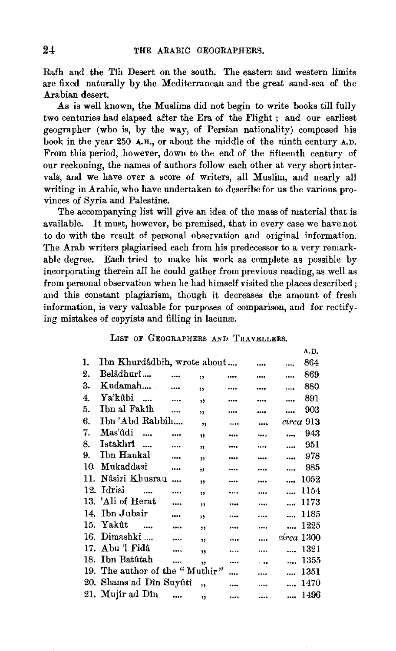Rafh and the Tih Desert on the south. The eastern and western limits are fixed naturally by the Mediterranean and the great sand-sea of the Arabian desert.

As is well known, the Muslims did not begin to write books till fully two centuries had elapsed after the Era of the Flight ; and our earliest geographer (who is, by the way, of Persian nationality) composed his book in the year 250 A.H., or about the middle of the ninth century A.D. From this period, however, down to the end of the fifteenth century of our reckoning, the names of authors follow each other at very short intervals, and we have over a score of writers, all Muslim, and nearly all writing in Arabic, who have undertaken to describe for us the various provinces of Syria and Palestine.

The accompanying list will give an idea of the mass of material that is available. It must, however, be premised, that in every case we have not to do with the result of personal observation and original information. The Arab writers plagiarised each from his predecessor to a very remarkable degree. Each tried to make his work as complete as possible by incorporating therein all he could gather from previous reading, as well as from personal observation when he had himself visited the places described; and this constant plagiarism, though it decreases the amount of fresh information, is very valuable for purposes of comparison, and for rectifying mistakes of copyists and filling in lacunæ.

## LIST OF GEOGRAPHERS AND TRAVELLERS.

|     |                                |               |                         |          |           |            | A.D.      |
|-----|--------------------------------|---------------|-------------------------|----------|-----------|------------|-----------|
| 1.  | Ibn Khurdâdbih, wrote about    |               |                         |          |           | .          | 864       |
| 2.  | Belâdhurî                      | $\cdots$      | $\overline{\mathbf{r}}$ |          |           |            | 869       |
| 3.  | Kudamah                        | $\cdots$      | $\overline{\mathbf{v}}$ |          |           | $\cdots$   | 880       |
| 4.  | Ya'kûbi                        | $\sim$ $\sim$ | , ,                     |          |           | $\cdots$   | 891       |
| 5.  | Ibn al Fakîh                   | $\cdots$      | $\overline{\mathbf{v}}$ |          |           |            | 903       |
| 6.  | Ibn 'Abd Rabbih                |               | ,                       | $\cdots$ | á.        |            | circa 913 |
| 7.  | Mas'ûdi<br>$\ddotsc$           | $\cdots$      | ,,                      |          | $\cdots$  |            | 943       |
| 8.  | Istakhrî                       | $\ddotsc$     | $\overline{\mathbf{3}}$ |          | $\cdots$  | $\cdots$   | 951       |
| 9.  | Ibn Haukal                     |               | $^{\prime}$             |          | $\cdots$  | $\ddotsc$  | 978       |
| 10  | Mukaddasi                      | $\cdots$      | , 1                     |          |           |            | 985       |
| 11. | Nâsiri Khusrau                 |               | $\overline{\mathbf{v}}$ |          | $\cdots$  | $\ddotsc$  | 1052      |
| 12. | Idrisi                         |               | ,                       |          |           | $\cdots$   | 1154      |
|     | 13. 'Ali of Herat              |               | ,                       |          | $\cdots$  | $\cdots$   | 1173      |
|     | 14. Ibn Jubair                 |               | , 1                     |          |           | $\cdots$   | 1185      |
|     | 15. Yakût<br>$\sim$            | $\cdots$      | , ,                     |          |           |            | 1225      |
|     | 16. Dimashki                   | $\cdots$      | $\overline{\mathbf{1}}$ |          |           | circa 1300 |           |
|     | 17. Abu 'l Fidâ                | $\ddotsc$     | $\overline{\mathbf{1}}$ |          |           | $\cdots$   | 1321      |
|     | 18. Ibn Batûtah                |               | , ,                     |          | $\ddotsc$ | $\ddotsc$  | 1355      |
|     | 19. The author of the "Muthir" |               |                         |          | $\cdots$  | $\cdots$   | 1351      |
|     | 20. Shams ad Din Suyûtî        |               | ,                       |          |           |            | 1470      |
|     | 21. Mujîr ad Dîn               | $\cdots$      | $\mathbf{r}$            |          |           |            | 1496      |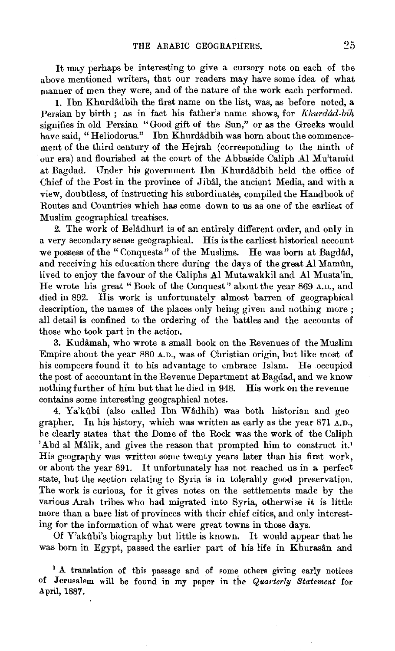It may perhaps be interesting to give a cursory note on each of the above mentioned writers, that our readers may have some idea of what manner of men they were, and of the nature of the work each performed.

1. Ibn Khurdadbih the first name on the list, was, as before noted, a Persian by birth ; as in fact his father's name shows, for *Khurdad-bih*  signifies in old Persian "Good gift of the Sun," or as the Greeks would have said, "Heliodorus." Ibn Khurdâdbih was born about the commencement of the third century of the Hejrah (corresponding to the ninth of our era) and flourished at the court of the Abbaside Caliph Al Mu'tamid at Bagdad. Under his government Ibn Khurdâdbih held the office of Chief of the Post in the province of Jibal, the ancient Media, and with a view, doubtless, of instructing his subordinates, compiled the Handbook of Routes and Countries which has come down to us as one of the earliest of Muslim geographical treatises.

2. The work of Belâdhurî is of an entirely different order, and only in a very secondary sense geographical. His is the earliest historical account we possess of the " Conquests" of the Muslims. He was born at Bagdad, and receiving his education there during the days of the great Al Mamftn, lived to enjoy the favour of the Caliphs Al Mutawakkil and. Al Musta'in. He wrote his great "Book of the Conquest" about the year 869 A.D., and died in 892. His work is unfortunately almost barren of geographical description, the names of the places only being given and nothing more ; all detail is confined to the ordering of the battles and the accounts of those who took part in the action.

3. Kudamah, who wrote a small book on the Revenues of the Muslim Empire about the year 880 A.D., was of Christian origin, but like most of his compeers found it to his advantage to embrace Islam. He occupied the post of accountant in the Revenue Department at Bagdad, and we know nothing further of him but that he died in 948. His work on the revenue contains some interesting geographical notes.

4. Ya'kûbi (also called Ibn Wâdhih) was both historian and geo grapher. In his history, which was written as early as the year 871 A.D., he clearly states that the Dome of the Rock was the work of the Caliph 'Abd al Malik, and gives the reason that prompted him to construct it.' His geography was written some twenty years later than his first work, or about the year 891. It unfortunately has not reached us in a perfect state, but the section relating to Syria is in tolerably good preservation. The work is curious, for it gives notes on the settlements made by the various Arab tribes who had migrated into Syria, otherwise it is little more than a bare list of provinces with their chief cities, and only interesting for the information of what were great towns in those days.

Of Y'akûbi's biography but little is known. It would appear that he was born in Egypt, passed the earlier part of his life in Khurasân and

<sup>1</sup> A translation of this passage and of some others giving early notices of Jerusalem will be found in my paper in tile *Quarterly Statement* for April, 1887.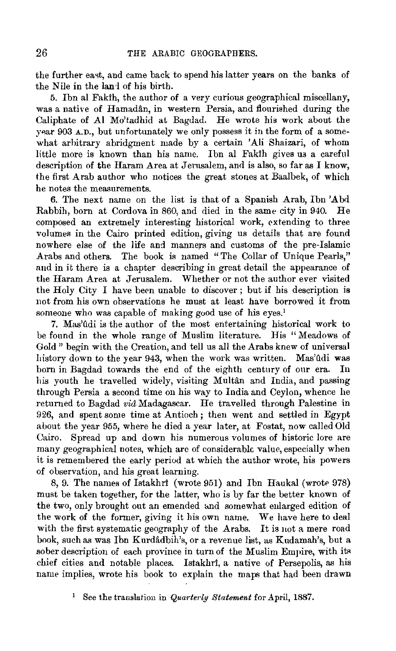the further east, and came back to spend his latter years on the banks of the Nile in the land of his birth.

5. lbn al Fakih, the author of a very curious geographical miscellany, was a native of Hamadân, in western Persia, and flourished during the Caliphate of Al Mo'tadhid at Bagdad. He wrote his work about the year 903 A.D., but unfortunately we only possess it in the form of a somewhat arhitrary abridgment made by a certain 'Ali Shaizari, of whom little more is known than his name. Ibn al Fakih gives ua a careful description of the Haram Area at Jerusalem, and is also, so far as I know, the first Arab author who notices the great stones at Baalbek, of which he notes the measurements.

6. The next name on the list is that of a Spanish Arab, Ibn 'Abd Rabbih, born at Cordova in 860, and died in the same city in 940. He composed an extremely interesting historical work, extending to three volumes in the Cairo printed edition, giving us details that are found nowhere else of the life and manners and customs of the pre-Islamic Arabs and others. The book is named "The Collar of Unique Pearls," and in it there is a chapter describing in great detail the appearance of the Haram Area at Jerusalem. Whether or not the author ever visited the Holy City I have been unable to discover; but if his description is not from his own observations he must at least have borrowed it from someone who was capable of making good use of his eyes.'

7. Mas'ûdi is the author of the most entertaining historical work to be found in the whole range of Muslim literature. His "Meadows of Gold" begin with the Creation, and tell us all the Arabs knew of universal history down to the year 943, when the work was written. Mas'ûdi was born in Bagdad towards the end of the eighth century of our era. In his youth he travelled widely, visiting Multan and India, and passing through Persia a second time on his way to India and Ceylon, whence he returned to Bagdad *via* Madagascar. He travelled through Palestine in 926, and spent some time at Antioch; then went and settled in Egypt about the year 955, where he died a year later, at Fostat, now called Old Cairo. Spread up and down his numerous volumes of historic lore are many geographical notes, which are of considerable value, especially when it is remembered the early period at which the author wrote, his powers of observation, and his great learning.

8, 9. The names of Istakhri (wrote 951) and Ibn Haukal (wrote 978) must be taken together, for the latter, who is by far the better known of the two, only brought out an emended and somewhat enlarged edition of the work of the former, giving it his own name. We have here to deal with the first systematic geography of the Arabs. It is not a mere road book, such as was Ibn Kurdadbih's, or a revenue list, as Kudamah's, but a sober description of each province in turn of the Muslim Empire, with its chief cities and notable places. lstakhri, a native of Persepolis, as his name implies, wrote his book to explain the maps that had been drawn

1 See the translation in *Quarterly Statement* for April, 1887.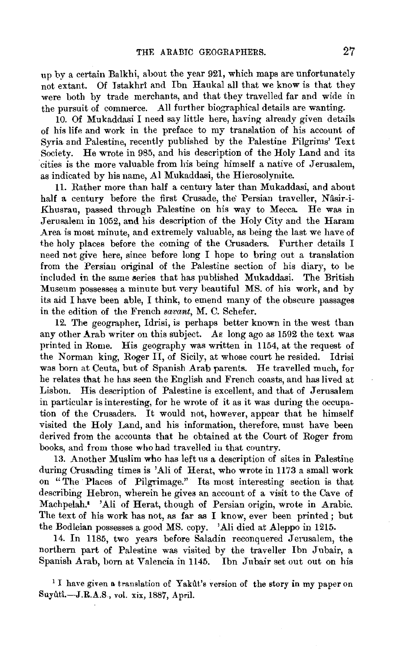up by a certain Balkhi, about the year 921, which maps are unfortunately not extant. Of Istakhri and Ibn Haukal all that we know is that they were both by trade merchants, and that they travelled far and wide in the pursuit of commerce. All further biographical details are wanting.

10. Of Mukaddasi I need say little here, having already given details of his life and work in the preface to my translation of his account of Syria and Palestine, recently published by the Palestine Pilgrims' Text Society. He wrote in 985, and his description of the Holy Land and its 'cities is the more valuable from his being himself a native of Jerusalem, as indicated by his name, AI Mukaddasi, the Hierosolymite.

11. Rather more than half a century later than Mukaddasi, and about half a century before the first Crusade, the' Persian traveller, Nâsir-i-Khusrau, passed through Palestine on his way to Mecca. He was in Jerusalem in 1052, and his description of the Holy City and the Haram Area is most minute, and extremely valuable, as being the last we have of the holy places before the coming of the Crusaders. Further details I need not give here, since before long I hope to bring out a translation from the Persian original of the Palestine section of his diary, to be included in the same series that has published Mukaddasi. The British Museum possesses a minute but very beautiful MS. of his work, and by its aid I have been able, I think, to emend many of the obscure passages in the edition of the French *savant*, M. C. Schefer.

12. The geographer, Idrisi, is perhaps better known in the west than any other Arab writer on this subject. As long ago as 1592 the text was printed in Rome. His geography was written in 1154, at the request of the Norman king, Roger 11, of Sicily, at whose court he resided. Idrisi was born at Ceuta, but of Spanish Arab parents. He travelled much, for he relates that he has seen the English and French coasts, and has lived at Lisbon. His description of Palestine is excellent, and that of Jerusalem in particular is interesting, for he wrote of it as it was during the occupation of the Crusaders. It would not, however, appear that he himself visited the Holy Land, and his information, therefore, must have been derived from the accounts that he obtained at the Court of Roger from books, and from those who had travelled in that country.

13. Another Muslim who has left us a description of sites in Palestine during Crusading times is 'Ali of Herat, who wrote in 1173 a small work on "The Places of Pilgrimage." Its most interesting section is that describing Hebron, wherein he gives an account of a visit to the Cave of Machpelah.• 'Ali of Herat, though of Persian origin, wrote in Arabic. The text of his work has not, as far as I know, ever been printed ; but the Bodleian possesses a good MS. copy. 'Ali died at Aleppo in 1215.

14. In 1185, two years before Saladin reconquered Jerusalem, the northern part of Palestine was visited by the traveller Ibn Jnbair, a Spanish Arab, born at Valencia in 1145. Ibn Jnbair set out out on his

<sup>1</sup> I have given a translation of Yakut's version of the story in my paper on Suyûtî.-J.R.A.S., vol. xix, 1887, April.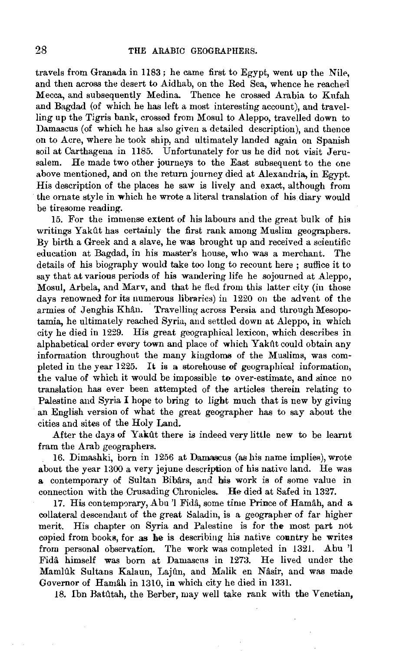travels from Granada in  $1183$ ; he came first to Egypt, went up the Nile, and then across the desert to Aidhab, on the Red Sea, whence he reached Mecca, and subsequently Medina. Thence he crossed Arabia to Kufah and Bagdad (of which he has left a most interesting account), and travelling up the Tigris bank, crossed from Mosul to Aleppo, travelled down to Damascus (of which he has also given a detailed description), and thence on to Acre, where he took ship, and ultimately landed again on Spanish soil at Carthagena in 1185. Unfortunately for us he did not visit Jerusalem. He made two other journeys to the East subsequent to the one above mentioned, and on the retum journey died at Alexandria, in Egypt. His description of the places he saw is lively and exact, although from the omate style in which he wrote a literal translation of his diary would be tiresome reading.

15. For the immense extent of his labours and the great bulk of his writings Yakût has certainly the first rank among Muslim geographers. By birth a Greek and a slave, he was brought up and received a scientific education at Bagdad, in his master's house, who was a merchant. The details of his biography would take too long to recount here ; suffice it to say that at various periods of his wandering life he sojourned at Aleppo, Mosul, Arbela, and Marv, and that he fled from this latter city (in those days renowned for its numerous libraries) in 1220 on the advent of the armies of Jenghis Khân. Travelling across Persia and through Mesopotamia, he ultimately reached Syria, and settled down at Aleppo, in which city he died in 1229. His great geographical lexicon, which describes in alphabetical order every town and place of which Yakût could obtain any information throughout the many kingdoms of the Muslims, was completed in the year 1225. It is a storehouse of geographical information, the value of which it would be impossible to over-estimate, and since no translation has ever been attempted of the articles therein relating to Palestine and Syria I hope to bring to light much that is new by giving an English version of what the great geographer has to say about the cities and sites of the Holy Land.

After the days of Yakilt there is indeed very little new to be leamt fram the Arab geographers.

16. Dimashki, bom in 1256 at Damascus (as his name implies), wrote about the year 1300 a very jejune description of his native land. He was a contemporary of Sultan Bibârs, and his work is of some value in connection with the Crusading Chronicles. He died at Safed in 1327.

17. His contemporary, Abu 'l Fidâ, some time Prince of Hamâh, and a collateral descendant of the great 8aladin, is a geographer of far higher merit. His chapter on Syria and Palestine is for the most part not copied from books, for as he is describing his native country he writes from personal observation. The work was completed in 1321. Abu 'l Fida himself was bom at Damascus in 1273. He lived under the Mamlûk Sultans Kalaun, Lajûn, and Malik en Nâsir, and was made Governor of Hamah in 1310, in which city he died in 1331.

18. Ibn Ratiltah, the Berber, may well take rank with the Venetian,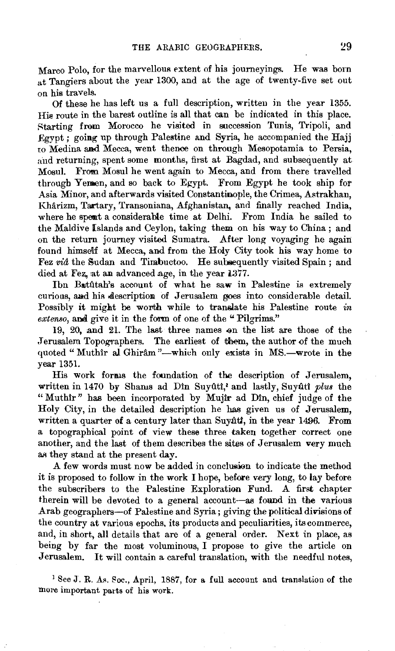Marco Polo, for the marvellous extent of his journeyings. He was born at Tangiers about the year 1300, and at the age of twenty-five set out on his travels.

Of these he has left us a full description, written in the year 1355. His route in the barest outline is all that can be indicated in this place. Rtarting from Morocco he visited in succession Tunis, Tripoli, and Egypt ; going up through Palestine and Syria, he accompanied the Hajj to Medina and Mecca, went thenoo on through Mesopotamia to Persia, and returning, spent some months, first at Bagdad, and subsequently at Mosul. From Mosul he went again to Mecca, and from there travelled through Yemen, and so back to Egypt. From Egypt he took ship for Asia Minor, and afterwards visited Constantinople, the Crimea, Astrakhan, Kharizm, Tartary, Transoniana, Afghanistan, and finally reached India, where he spent a considerable time at Delhi. From India he sailed to the Maldive [slands and Ceylon, taking them on his way to China ; and on the return journey visited Sumatra. After long voyaging he again found himself at Mecca, and from the Holy City took his way home to Fez vid the Sudan and Timbuctoo. He subsequently visited Spain ; and died at Fez, at an advanced age, in the year 1377.

Ibn Batûtah's account of what he saw in Palestine is extremely curious, and his description of Jerusalem goes into considerable detail. Possibly it might be worth while to translate his Palestine route *in extenso*, and give it in the form of one of the " Pilgrims."

19, 20, and 21. The last three names on the list are those of the Jerusalem Topographers. The earliest of them, the author of the much quoted "Muthir al Ghiram"-which only exists in MS.-wrote in the year 1351.

His work forms the foundation of the description of Jerusalem, written in 1470 by Shams ad Dîn Suyûtî,<sup>2</sup> and lastly, Suyûtî plus the "Muthir" has been incorporated by Mujir ad Din, chief judge of the Holy City, in the detailed description he has given us of Jerusalem, written a quarter of a century later than Suyutt, in the year 1496. From a topographical point of view these three taken together correct one another, and the last of them describes the sites of Jerusalem very much as they stand at the present day.

A few words must now be added in conclusion to indicate the method it is proposed to follow in the work I hope, before very long, to lay before the subscribers to the Palestine Exploration Fund. A first chapter therein will be devoted to a general account-as found in the various Arab geographers-of Palestine and Syria; giving the political divisions of the country at various epochs, its products and peculiarities, its commerce, and, in short, all details that are of a general order. Next in place, as being by far the most voluminous, I propose to give the article on Jerusalem. It will contain a careful translation, with the needful notes,

<sup>1</sup> See J. R. As. Soc., April, 1887, for a full account and translation of the more important parts of his work.